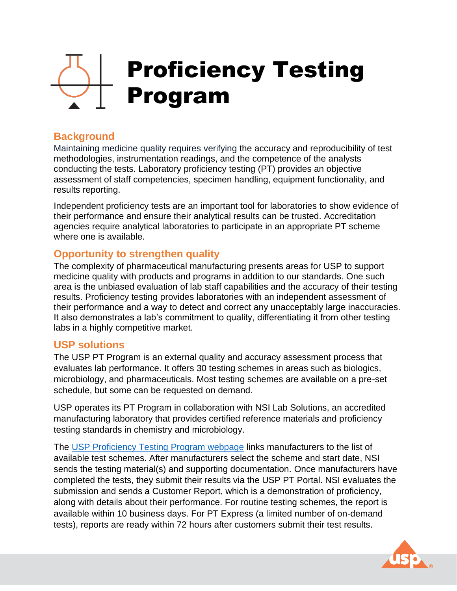# Proficiency Testing Program

## **Background**

Maintaining medicine quality requires verifying the accuracy and reproducibility of test methodologies, instrumentation readings, and the competence of the analysts conducting the tests. Laboratory proficiency testing (PT) provides an objective assessment of staff competencies, specimen handling, equipment functionality, and results reporting.

Independent proficiency tests are an important tool for laboratories to show evidence of their performance and ensure their analytical results can be trusted. Accreditation agencies require analytical laboratories to participate in an appropriate PT scheme where one is available.

### **Opportunity to strengthen quality**

The complexity of pharmaceutical manufacturing presents areas for USP to support medicine quality with products and programs in addition to our standards. One such area is the unbiased evaluation of lab staff capabilities and the accuracy of their testing results. Proficiency testing provides laboratories with an independent assessment of their performance and a way to detect and correct any unacceptably large inaccuracies. It also demonstrates a lab's commitment to quality, differentiating it from other testing labs in a highly competitive market.

#### **USP solutions**

The USP PT Program is an external quality and accuracy assessment process that evaluates lab performance. It offers 30 testing schemes in areas such as biologics, microbiology, and pharmaceuticals. Most testing schemes are available on a pre-set schedule, but some can be requested on demand.

USP operates its PT Program in collaboration with NSI Lab Solutions, an accredited manufacturing laboratory that provides certified reference materials and proficiency testing standards in chemistry and microbiology.

The [USP Proficiency Testing Program webpage](https://www.usp.org/proficiency-testing) links manufacturers to the list of available test schemes. After manufacturers select the scheme and start date, NSI sends the testing material(s) and supporting documentation. Once manufacturers have completed the tests, they submit their results via the USP PT Portal. NSI evaluates the submission and sends a Customer Report, which is a demonstration of proficiency, along with details about their performance. For routine testing schemes, the report is available within 10 business days. For PT Express (a limited number of on-demand tests), reports are ready within 72 hours after customers submit their test results.